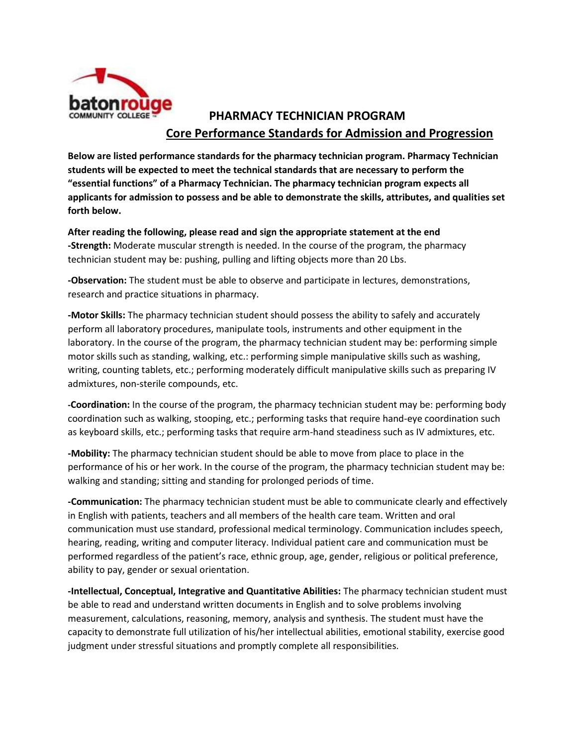

## **PHARMACY TECHNICIAN PROGRAM Core Performance Standards for Admission and Progression**

**Below are listed performance standards for the pharmacy technician program. Pharmacy Technician students will be expected to meet the technical standards that are necessary to perform the "essential functions" of a Pharmacy Technician. The pharmacy technician program expects all applicants for admission to possess and be able to demonstrate the skills, attributes, and qualities set forth below.**

**After reading the following, please read and sign the appropriate statement at the end -Strength:** Moderate muscular strength is needed. In the course of the program, the pharmacy technician student may be: pushing, pulling and lifting objects more than 20 Lbs.

**-Observation:** The student must be able to observe and participate in lectures, demonstrations, research and practice situations in pharmacy.

**-Motor Skills:** The pharmacy technician student should possess the ability to safely and accurately perform all laboratory procedures, manipulate tools, instruments and other equipment in the laboratory. In the course of the program, the pharmacy technician student may be: performing simple motor skills such as standing, walking, etc.: performing simple manipulative skills such as washing, writing, counting tablets, etc.; performing moderately difficult manipulative skills such as preparing IV admixtures, non-sterile compounds, etc.

**-Coordination:** In the course of the program, the pharmacy technician student may be: performing body coordination such as walking, stooping, etc.; performing tasks that require hand-eye coordination such as keyboard skills, etc.; performing tasks that require arm-hand steadiness such as IV admixtures, etc.

**-Mobility:** The pharmacy technician student should be able to move from place to place in the performance of his or her work. In the course of the program, the pharmacy technician student may be: walking and standing; sitting and standing for prolonged periods of time.

**-Communication:** The pharmacy technician student must be able to communicate clearly and effectively in English with patients, teachers and all members of the health care team. Written and oral communication must use standard, professional medical terminology. Communication includes speech, hearing, reading, writing and computer literacy. Individual patient care and communication must be performed regardless of the patient's race, ethnic group, age, gender, religious or political preference, ability to pay, gender or sexual orientation.

**-Intellectual, Conceptual, Integrative and Quantitative Abilities:** The pharmacy technician student must be able to read and understand written documents in English and to solve problems involving measurement, calculations, reasoning, memory, analysis and synthesis. The student must have the capacity to demonstrate full utilization of his/her intellectual abilities, emotional stability, exercise good judgment under stressful situations and promptly complete all responsibilities.